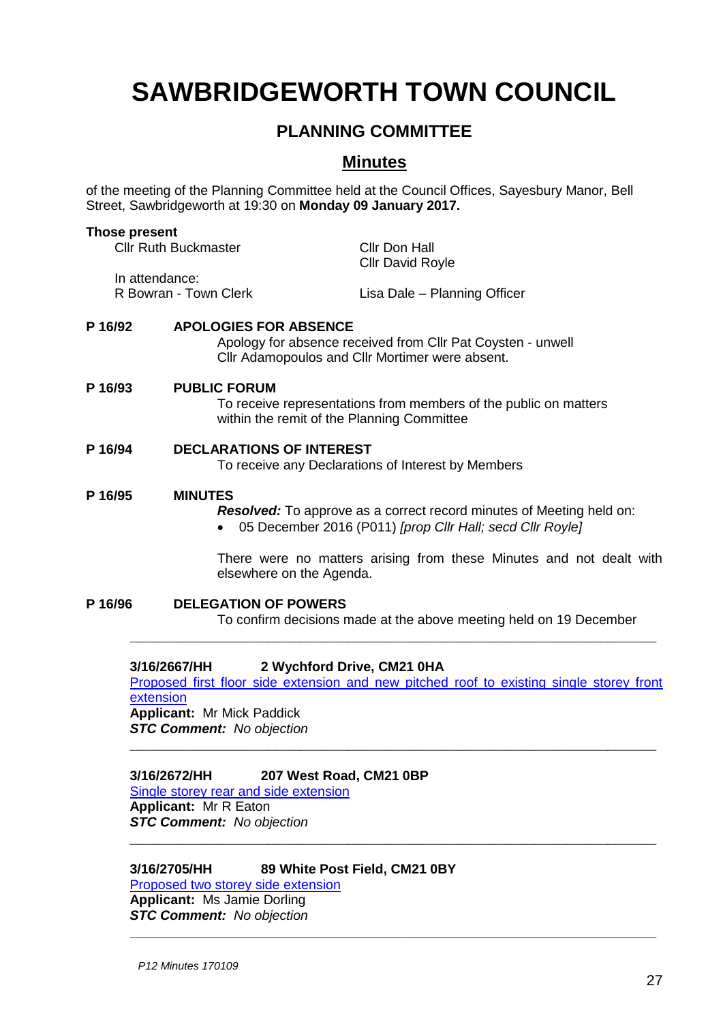# **SAWBRIDGEWORTH TOWN COUNCIL**

# **PLANNING COMMITTEE**

# **Minutes**

of the meeting of the Planning Committee held at the Council Offices, Sayesbury Manor, Bell Street, Sawbridgeworth at 19:30 on **Monday 09 January 2017.**

#### **Those present**

| <b>Cllr Ruth Buckmaster</b> | Cllr Don Hall                |
|-----------------------------|------------------------------|
|                             | <b>Cllr David Royle</b>      |
| In attendance:              |                              |
| R Bowran - Town Clerk       | Lisa Dale - Planning Officer |

#### **P 16/92 APOLOGIES FOR ABSENCE**

Apology for absence received from Cllr Pat Coysten - unwell Cllr Adamopoulos and Cllr Mortimer were absent.

#### **P 16/93 PUBLIC FORUM**

To receive representations from members of the public on matters within the remit of the Planning Committee

#### **P 16/94 DECLARATIONS OF INTEREST**

To receive any Declarations of Interest by Members

#### **P 16/95 MINUTES**

*Resolved:* To approve as a correct record minutes of Meeting held on:

05 December 2016 (P011) *[prop Cllr Hall; secd Cllr Royle]*

There were no matters arising from these Minutes and not dealt with elsewhere on the Agenda.

**P 16/96 DELEGATION OF POWERS**

To confirm decisions made at the above meeting held on 19 December

#### **3/16/2667/HH 2 Wychford Drive, CM21 0HA**

[Proposed first floor side extension and new pitched roof to existing single storey front](https://publicaccess.eastherts.gov.uk/online-applications/applicationDetails.do?activeTab=summary&keyVal=OHG3MXGLMDS00)  [extension](https://publicaccess.eastherts.gov.uk/online-applications/applicationDetails.do?activeTab=summary&keyVal=OHG3MXGLMDS00) **Applicant:** Mr Mick Paddick *STC Comment: No objection*

**\_\_\_\_\_\_\_\_\_\_\_\_\_\_\_\_\_\_\_\_\_\_\_\_\_\_\_\_\_\_\_\_\_\_\_\_\_\_\_\_\_\_\_\_\_\_\_\_\_\_\_\_\_\_\_\_\_\_\_\_\_\_\_\_\_**

**\_\_\_\_\_\_\_\_\_\_\_\_\_\_\_\_\_\_\_\_\_\_\_\_\_\_\_\_\_\_\_\_\_\_\_\_\_\_\_\_\_\_\_\_\_\_\_\_\_\_\_\_\_\_\_\_\_\_\_\_\_\_\_\_\_**

**\_\_\_\_\_\_\_\_\_\_\_\_\_\_\_\_\_\_\_\_\_\_\_\_\_\_\_\_\_\_\_\_\_\_\_\_\_\_\_\_\_\_\_\_\_\_\_\_\_\_\_\_\_\_\_\_\_\_\_\_\_\_\_\_\_**

#### **3/16/2672/HH 207 West Road, CM21 0BP**

[Single storey rear and side extension](https://publicaccess.eastherts.gov.uk/online-applications/applicationDetails.do?activeTab=summary&keyVal=OHG876GL00X00) **Applicant:** Mr R Eaton *STC Comment: No objection*

**3/16/2705/HH 89 White Post Field, CM21 0BY**  [Proposed two storey side extension](https://publicaccess.eastherts.gov.uk/online-applications/applicationDetails.do?activeTab=summary&keyVal=OHKFADGLMFP00) **Applicant:** Ms Jamie Dorling

*STC Comment: No objection* **\_\_\_\_\_\_\_\_\_\_\_\_\_\_\_\_\_\_\_\_\_\_\_\_\_\_\_\_\_\_\_\_\_\_\_\_\_\_\_\_\_\_\_\_\_\_\_\_\_\_\_\_\_\_\_\_\_\_\_\_\_\_\_\_\_**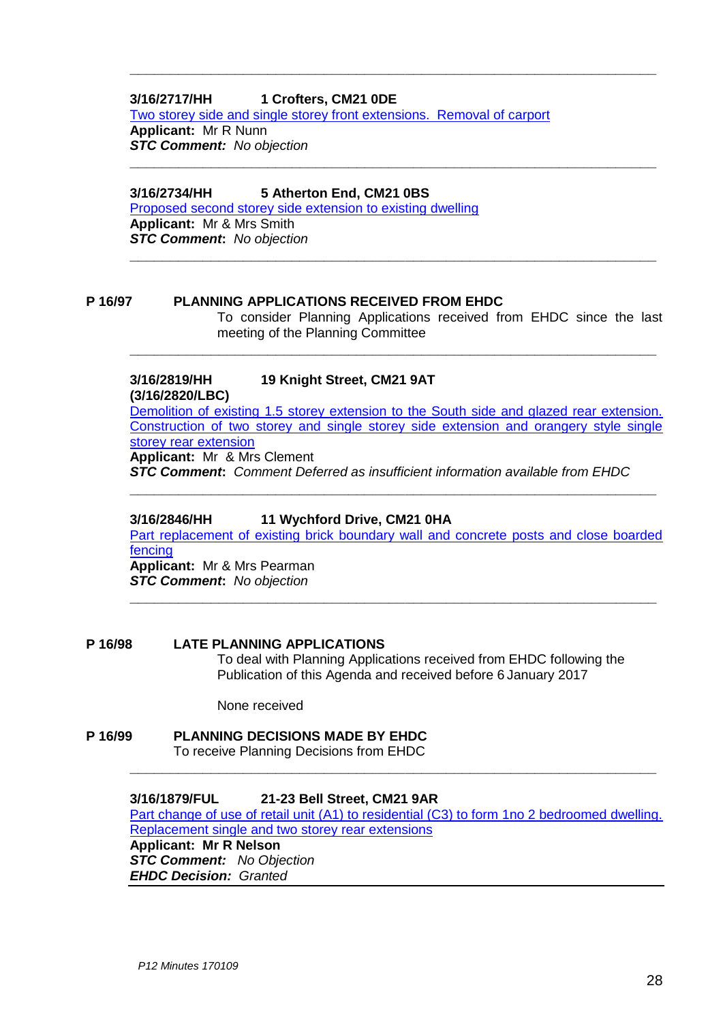#### **3/16/2717/HH 1 Crofters, CM21 0DE**

[Two storey side and single storey front extensions. Removal of carport](https://publicaccess.eastherts.gov.uk/online-applications/applicationDetails.do?activeTab=summary&keyVal=OHRIQGGLMGM00)

**\_\_\_\_\_\_\_\_\_\_\_\_\_\_\_\_\_\_\_\_\_\_\_\_\_\_\_\_\_\_\_\_\_\_\_\_\_\_\_\_\_\_\_\_\_\_\_\_\_\_\_\_\_\_\_\_\_\_\_\_\_\_\_\_\_**

**\_\_\_\_\_\_\_\_\_\_\_\_\_\_\_\_\_\_\_\_\_\_\_\_\_\_\_\_\_\_\_\_\_\_\_\_\_\_\_\_\_\_\_\_\_\_\_\_\_\_\_\_\_\_\_\_\_\_\_\_\_\_\_\_\_**

**\_\_\_\_\_\_\_\_\_\_\_\_\_\_\_\_\_\_\_\_\_\_\_\_\_\_\_\_\_\_\_\_\_\_\_\_\_\_\_\_\_\_\_\_\_\_\_\_\_\_\_\_\_\_\_\_\_\_\_\_\_\_\_\_\_**

**\_\_\_\_\_\_\_\_\_\_\_\_\_\_\_\_\_\_\_\_\_\_\_\_\_\_\_\_\_\_\_\_\_\_\_\_\_\_\_\_\_\_\_\_\_\_\_\_\_\_\_\_\_\_\_\_\_\_\_\_\_\_\_\_\_**

**Applicant:** Mr R Nunn *STC Comment: No objection*

#### **3/16/2734/HH 5 Atherton End, CM21 0BS**

[Proposed second storey side extension to existing dwelling](https://publicaccess.eastherts.gov.uk/online-applications/simpleSearchResults.do?action=firstPage) **Applicant:** Mr & Mrs Smith *STC Comment***:** *No objection*

#### **P 16/97 PLANNING APPLICATIONS RECEIVED FROM EHDC**

To consider Planning Applications received from EHDC since the last meeting of the Planning Committee

# **3/16/2819/HH 19 Knight Street, CM21 9AT**

**(3/16/2820/LBC)**

[Demolition of existing 1.5 storey extension to the South side and glazed rear extension.](https://publicaccess.eastherts.gov.uk/online-applications/search.do?action=simple&searchType=Application)  [Construction of two storey and single storey side extension and orangery style single](https://publicaccess.eastherts.gov.uk/online-applications/search.do?action=simple&searchType=Application)  [storey rear extension](https://publicaccess.eastherts.gov.uk/online-applications/search.do?action=simple&searchType=Application)

**Applicant:** Mr & Mrs Clement

*STC Comment***:** *Comment Deferred as insufficient information available from EHDC*

**\_\_\_\_\_\_\_\_\_\_\_\_\_\_\_\_\_\_\_\_\_\_\_\_\_\_\_\_\_\_\_\_\_\_\_\_\_\_\_\_\_\_\_\_\_\_\_\_\_\_\_\_\_\_\_\_\_\_\_\_\_\_\_\_\_**

#### **3/16/2846/HH 11 Wychford Drive, CM21 0HA**

[Part replacement of existing brick boundary wall and concrete posts and close boarded](https://publicaccess.eastherts.gov.uk/online-applications/simpleSearchResults.do?action=firstPage)  [fencing](https://publicaccess.eastherts.gov.uk/online-applications/simpleSearchResults.do?action=firstPage)

**\_\_\_\_\_\_\_\_\_\_\_\_\_\_\_\_\_\_\_\_\_\_\_\_\_\_\_\_\_\_\_\_\_\_\_\_\_\_\_\_\_\_\_\_\_\_\_\_\_\_\_\_\_\_\_\_\_\_\_\_\_\_\_\_\_**

**Applicant:** Mr & Mrs Pearman *STC Comment***:** *No objection*

#### **P 16/98 LATE PLANNING APPLICATIONS**

To deal with Planning Applications received from EHDC following the Publication of this Agenda and received before 6 January 2017

None received

### **P 16/99 PLANNING DECISIONS MADE BY EHDC**

To receive Planning Decisions from EHDC

#### **3/16/1879/FUL 21-23 Bell Street, CM21 9AR**

[Part change of use of retail unit \(A1\) to residential \(C3\) to form 1no 2 bedroomed dwelling.](https://publicaccess.eastherts.gov.uk/online-applications/applicationDetails.do?activeTab=summary&keyVal=OC1KUNGLL3B00)  [Replacement single and two storey rear extensions](https://publicaccess.eastherts.gov.uk/online-applications/applicationDetails.do?activeTab=summary&keyVal=OC1KUNGLL3B00)

**\_\_\_\_\_\_\_\_\_\_\_\_\_\_\_\_\_\_\_\_\_\_\_\_\_\_\_\_\_\_\_\_\_\_\_\_\_\_\_\_\_\_\_\_\_\_\_\_\_\_\_\_\_\_\_\_\_\_\_\_\_\_\_\_\_**

**Applicant: Mr R Nelson** *STC Comment: No Objection EHDC Decision: Granted*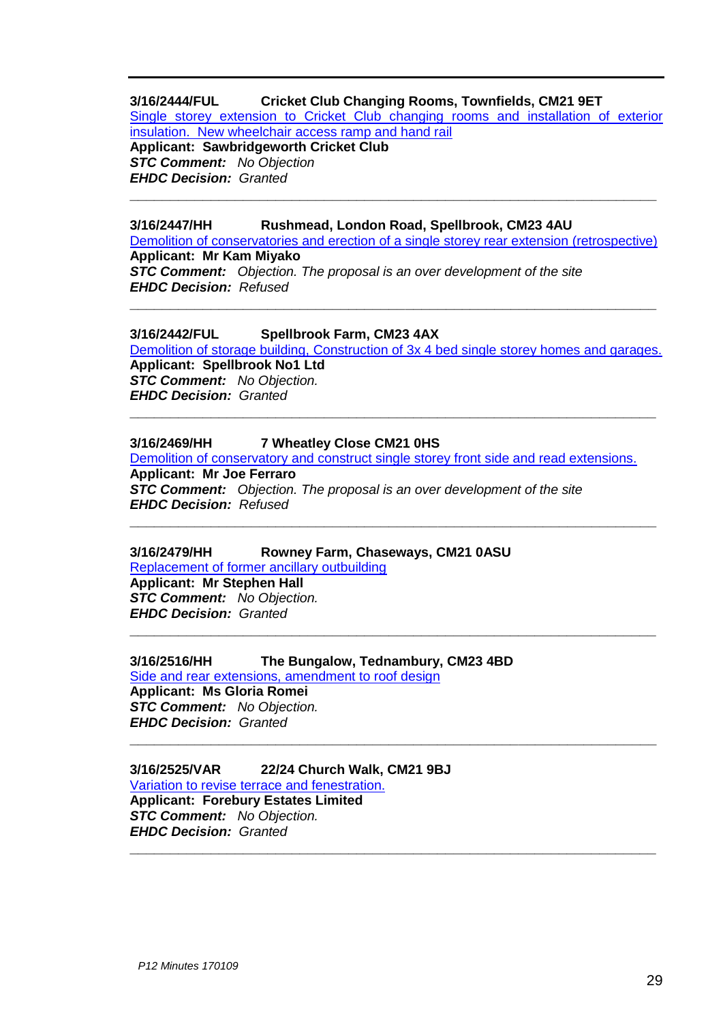#### **3/16/2444/FUL Cricket Club Changing Rooms, Townfields, CM21 9ET**

[Single storey extension to Cricket Club changing rooms and installation of exterior](https://publicaccess.eastherts.gov.uk/online-applications/applicationDetails.do?activeTab=summary&keyVal=OG08X8GLM1200)  [insulation. New wheelchair access ramp and hand rail](https://publicaccess.eastherts.gov.uk/online-applications/applicationDetails.do?activeTab=summary&keyVal=OG08X8GLM1200)

**Applicant: Sawbridgeworth Cricket Club** *STC Comment: No Objection EHDC Decision: Granted*

#### **3/16/2447/HH Rushmead, London Road, Spellbrook, CM23 4AU**

[Demolition of conservatories and erection of a single storey rear extension \(retrospective\)](https://publicaccess.eastherts.gov.uk/online-applications/applicationDetails.do?activeTab=summary&keyVal=OG0910GLM1800) **Applicant: Mr Kam Miyako** *STC Comment: Objection. The proposal is an over development of the site EHDC Decision: Refused*

**\_\_\_\_\_\_\_\_\_\_\_\_\_\_\_\_\_\_\_\_\_\_\_\_\_\_\_\_\_\_\_\_\_\_\_\_\_\_\_\_\_\_\_\_\_\_\_\_\_\_\_\_\_\_\_\_\_\_\_\_\_\_\_\_\_**

**\_\_\_\_\_\_\_\_\_\_\_\_\_\_\_\_\_\_\_\_\_\_\_\_\_\_\_\_\_\_\_\_\_\_\_\_\_\_\_\_\_\_\_\_\_\_\_\_\_\_\_\_\_\_\_\_\_\_\_\_\_\_\_\_\_**

#### **3/16/2442/FUL Spellbrook Farm, CM23 4AX**

[Demolition of storage building, Construction of 3x 4 bed single storey homes and garages.](https://publicaccess.eastherts.gov.uk/online-applications/applicationDetails.do?activeTab=summary&keyVal=OG0910GLM1800) **Applicant: Spellbrook No1 Ltd** *STC Comment: No Objection. EHDC Decision: Granted* **\_\_\_\_\_\_\_\_\_\_\_\_\_\_\_\_\_\_\_\_\_\_\_\_\_\_\_\_\_\_\_\_\_\_\_\_\_\_\_\_\_\_\_\_\_\_\_\_\_\_\_\_\_\_\_\_\_\_\_\_\_\_\_\_\_**

#### **3/16/2469/HH 7 Wheatley Close CM21 0HS**

[Demolition of conservatory and construct single storey front side and read extensions.](https://publicaccess.eastherts.gov.uk/online-applications/applicationDetails.do?activeTab=summary&keyVal=OG0910GLM1800) **Applicant: Mr Joe Ferraro** *STC Comment: Objection. The proposal is an over development of the site EHDC Decision: Refused*

**\_\_\_\_\_\_\_\_\_\_\_\_\_\_\_\_\_\_\_\_\_\_\_\_\_\_\_\_\_\_\_\_\_\_\_\_\_\_\_\_\_\_\_\_\_\_\_\_\_\_\_\_\_\_\_\_\_\_\_\_\_\_\_\_\_**

**\_\_\_\_\_\_\_\_\_\_\_\_\_\_\_\_\_\_\_\_\_\_\_\_\_\_\_\_\_\_\_\_\_\_\_\_\_\_\_\_\_\_\_\_\_\_\_\_\_\_\_\_\_\_\_\_\_\_\_\_\_\_\_\_\_**

**\_\_\_\_\_\_\_\_\_\_\_\_\_\_\_\_\_\_\_\_\_\_\_\_\_\_\_\_\_\_\_\_\_\_\_\_\_\_\_\_\_\_\_\_\_\_\_\_\_\_\_\_\_\_\_\_\_\_\_\_\_\_\_\_\_**

**\_\_\_\_\_\_\_\_\_\_\_\_\_\_\_\_\_\_\_\_\_\_\_\_\_\_\_\_\_\_\_\_\_\_\_\_\_\_\_\_\_\_\_\_\_\_\_\_\_\_\_\_\_\_\_\_\_\_\_\_\_\_\_\_\_**

#### **3/16/2479/HH Rowney Farm, Chaseways, CM21 0ASU**

[Replacement of former ancillary outbuilding](https://publicaccess.eastherts.gov.uk/online-applications/applicationDetails.do?activeTab=summary&keyVal=OG0910GLM1800) **Applicant: Mr Stephen Hall** *STC Comment: No Objection. EHDC Decision: Granted*

#### **3/16/2516/HH The Bungalow, Tednambury, CM23 4BD**

[Side and rear extensions, amendment to roof design](https://publicaccess.eastherts.gov.uk/online-applications/applicationDetails.do?activeTab=summary&keyVal=OG0910GLM1800) **Applicant: Ms Gloria Romei** *STC Comment: No Objection. EHDC Decision: Granted*

#### **3/16/2525/VAR 22/24 Church Walk, CM21 9BJ** [Variation to revise terrace and fenestration.](https://publicaccess.eastherts.gov.uk/online-applications/applicationDetails.do?activeTab=summary&keyVal=OG0910GLM1800) **Applicant: Forebury Estates Limited** *STC Comment: No Objection. EHDC Decision: Granted*